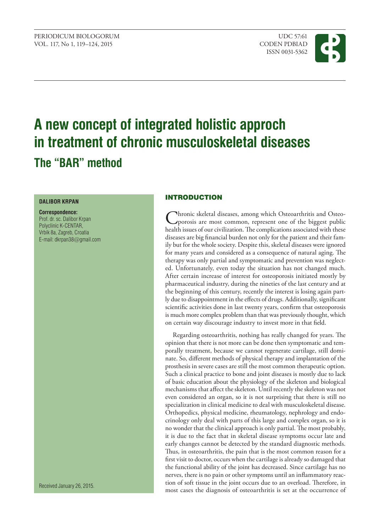PERIODICUM BIOLOGORUM UDC 57:61 VOL. 117, No 1, 119–124, 2015 CODEN PDBIAD

ISSN 0031-5362



# **A new concept of integrated holistic approch in treatment of chronic musculoskeletal diseases The "BAR" method**

# **DALIBOR KRPAN**

**Correspondence:** Prof. dr. sc. Dalibor Krpan Polyclinic K-CENTAR, Vrbik 8a, Zagreb, Croatia E-mail: dkrpan38@gmail.com

Received January 26, 2015.

# INTRODUCTION

Chronic skeletal diseases, among which Osteoarthritis and Osteo-<br>porosis are most common, represent one of the biggest public<br>health image four initiation. The conditioning constituted there health issues of our civilization. The complications associated with these diseases are big financial burden not only for the patient and their family but for the whole society. Despite this, skeletal diseases were ignored for many years and considered as a consequence of natural aging. The therapy was only partial and symptomatic and prevention was neglected. Unfortunately, even today the situation has not changed much. After certain increase of interest for osteoporosis initiated mostly by pharmaceutical industry, during the nineties of the last century and at the beginning of this century, recently the interest is losing again partly due to disappointment in the effects of drugs. Additionally, significant scientific activities done in last twenty years, confirm that osteoporosis is much more complex problem than that was previously thought, which on certain way discourage industry to invest more in that field.

Regarding osteoarthritis, nothing has really changed for years. The opinion that there is not more can be done then symptomatic and temporally treatment, because we cannot regenerate cartilage, still dominate. So, different methods of physical therapy and implantation of the prosthesis in severe cases are still the most common therapeutic option. Such a clinical practice to bone and joint diseases is mostly due to lack of basic education about the physiology of the skeleton and biological mechanisms that affect the skeleton. Until recently the skeleton was not even considered an organ, so it is not surprising that there is still no specialization in clinical medicine to deal with musculoskeletal disease. Orthopedics, physical medicine, rheumatology, nephrology and endocrinology only deal with parts of this large and complex organ, so it is no wonder that the clinical approach is only partial. The most probably, it is due to the fact that in skeletal disease symptoms occur late and early changes cannot be detected by the standard diagnostic methods. Thus, in osteoarthritis, the pain that is the most common reason for a first visit to doctor, occurs when the cartilage is already so damaged that the functional ability of the joint has decreased. Since cartilage has no nerves, there is no pain or other symptoms until an inflammatory reaction of soft tissue in the joint occurs due to an overload. Therefore, in most cases the diagnosis of osteoarthritis is set at the occurrence of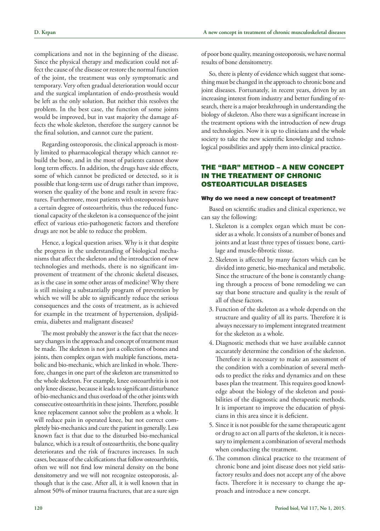complications and not in the beginning of the disease. Since the physical therapy and medication could not affect the cause of the disease or restore the normal function of the joint, the treatment was only symptomatic and temporary. Very often gradual deterioration would occur and the surgical implantation of endo-prosthesis would be left as the only solution. But neither this resolves the problem. In the best case, the function of some joints would be improved, but in vast majority the damage affects the whole skeleton, therefore the surgery cannot be the final solution, and cannot cure the patient.

Regarding osteoporosis, the clinical approach is mostly limited to pharmacological therapy which cannot rebuild the bone, and in the most of patients cannot show long term effects. In addition, the drugs have side effects, some of which cannot be predicted or detected, so it is possible that long-term use of drugs rather than improve, worsen the quality of the bone and result in severe fractures. Furthermore, most patients with osteoporosis have a certain degree of osteoarthritis, thus the reduced functional capacity of the skeleton is a consequence of the joint effect of various etio-pathogenetic factors and therefore drugs are not be able to reduce the problem.

Hence, a logical question arises. Why is it that despite the progress in the understanding of biological mechanisms that affect the skeleton and the introduction of new technologies and methods, there is no significant improvement of treatment of the chronic skeletal diseases, as is the case in some other areas of medicine? Why there is still missing a substantially program of prevention by which we will be able to significantly reduce the serious consequences and the costs of treatment, as is achieved for example in the treatment of hypertension, dyslipidemia, diabetes and malignant diseases?

The most probably the answer is the fact that the necessary changes in the approach and concept of treatment must be made. The skeleton is not just a collection of bones and joints, then complex organ with multiple functions, metabolic and bio-mechanic, which are linked in whole. Therefore, changes in one part of the skeleton are transmitted to the whole skeleton. For example, knee osteoarthritis is not only knee disease, because it leads to significant disturbance of bio-mechanics and thus overload of the other joints with consecutive osteoarthritis in these joints. Therefore, possible knee replacement cannot solve the problem as a whole. It will reduce pain in operated knee, but not correct completely bio-mechanics and cure the patient in generally. Less known fact is that due to the disturbed bio-mechanical balance, which is a result of osteoarthritis, the bone quality deteriorates and the risk of fractures increases. In such cases, because of the calcifications that follow osteoarthritis, often we will not find low mineral density on the bone densitometry and we will not recognize osteoporosis, although that is the case. After all, it is well known that in almost 50% of minor trauma fractures, that are a sure sign

of poor bone quality, meaning osteoporosis, we have normal results of bone densitometry.

So, there is plenty of evidence which suggest that something must be changed in the approach to chronic bone and joint diseases. Fortunately, in recent years, driven by an increasing interest from industry and better funding of research, there is a major breakthrough in understanding the biology of skeleton. Also there was a significant increase in the treatment options with the introduction of new drugs and technologies. Now it is up to clinicians and the whole society to take the new scientific knowledge and technological possibilities and apply them into clinical practice.

## THE "BAR" METHOD – A NEW CONCEPT IN THE TREATMENT OF CHRONIC OSTEOARTICULAR DISEASES

#### Why do we need a new concept of treatment?

Based on scientific studies and clinical experience, we can say the following:

- 1. Skeleton is a complex organ which must be consider as a whole. It consists of a number of bones and joints and at least three types of tissues: bone, cartilage and muscle-fibrotic tissue.
- 2. Skeleton is affected by many factors which can be divided into genetic, bio-mechanical and metabolic. Since the structure of the bone is constantly changing through a process of bone remodeling we can say that bone structure and quality is the result of all of these factors.
- 3. Function of the skeleton as a whole depends on the structure and quality of all its parts. Therefore it is always necessary to implement integrated treatment for the skeleton as a whole.
- 4. Diagnostic methods that we have available cannot accurately determine the condition of the skeleton. Therefore it is necessary to make an assessment of the condition with a combination of several methods to predict the risks and dynamics and on these bases plan the treatment. This requires good knowledge about the biology of the skeleton and possibilities of the diagnostic and therapeutic methods. It is important to improve the education of physicians in this area since it is deficient.
- 5. Since it is not possible for the same therapeutic agent or drug to act on all parts of the skeleton, it is necessary to implement a combination of several methods when conducting the treatment.
- 6. The common clinical practice to the treatment of chronic bone and joint disease does not yield satisfactory results and does not accept any of the above facts. Therefore it is necessary to change the approach and introduce a new concept.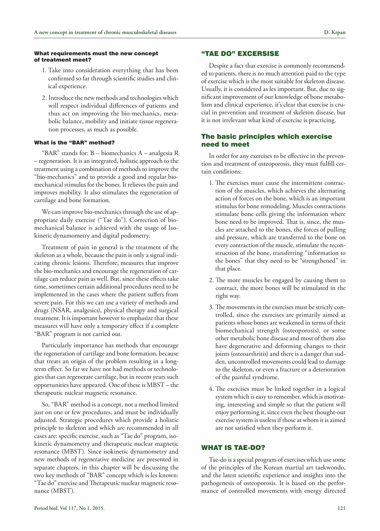#### What requirements must the new concept of treatment meet?

- 1. Take into consideration everything that has been confirmed so far through scientific studies and clinical experience.
- 2. Introduce the new methods and technologies which will respect individual differences of patients and thus act on improving the bio-mechanics, metabolic balance, mobility and initiate tissue regeneration processes, as much as possible.

## What is the "BAR" method?

"BAR" stands for: B – biomechanics A – analgesia R – regeneration. It is an integrated, holistic approach to the treatment using a combination of methods to improve the "bio-mechanics" and to provide a good and regular biomechanical stimulus for the bones. It relieves the pain and improves mobility. It also stimulates the regeneration of cartilage and bone formation.

We can improve bio-mechanics through the use of appropriate daily exercise ("Tae do"). Correction of biomechanical balance is achieved with the usage of Isokinetic dynamometry and digital podometry.

Treatment of pain in general is the treatment of the skeleton as a whole, because the pain is only a signal indicating chronic lesions. Therefore, measures that improve the bio-mechanics and encourage the regeneration of cartilage can reduce pain as well. But, since these effects take time, sometimes certain additional procedures need to be implemented in the cases where the patient suffers from severe pain. For this we can use a variety of methods and drugs (NSAR, analgesics), physical therapy and surgical treatment. It is important however to emphasize that these measures will have only a temporary effect if a complete "BAR" program is not carried out.

Particularly importance has methods that encourage the regeneration of cartilage and bone formation, because that treats an origin of the problem resulting in a longterm effect. So far we have not had methods or technologies that can regenerate cartilage, but in recent years such opportunities have appeared. One of these is MBST – the therapeutic nuclear magnetic resonance.

So, "BAR" method is a concept, not a method limited just on one or few procedures, and must be individually adjusted. Strategic procedures which provide a holistic principle to skeleton and which are recommended in all cases are: specific exercise, such as "Tae do" program, isokinetic dynamometry and therapeutic nuclear magnetic resonance (MBST). Since isokinetic dynamometry and new methods of regenerative medicine are presented in separate chapters, in this chapter will be discussing the two key methods of "BAR" concept which is les known: "Tae do" exercise and Therapeutic nuclear magnetic resonance (MBST).

#### "TAE DO" EXCERSISE

Despite a fact that exercise is commonly recommended to patients, there is no much attention paid to the type of exercise which is the most suitable for skeleton disease. Usually, it is considered as les important. But, due to significant improvement of our knowledge of bone metabolism and clinical experience, it's clear that exercise is crucial in prevention and treatment of skeleton disease, but it is not irrelevant what kind of exercise is practicing.

## The basic principles which exercise need to meet

In order for any exercises to be effective in the prevention and treatment of osteoporosis, they must fulfill certain conditions:

- 1. The exercises must cause the intermittent contraction of the muscles, which achieves the alternating action of forces on the bone, which is an important stimulus for bone remodeling. Muscles contractions stimulate bone cells giving the information where bone need to be improved. That is, since, the muscles are attached to the bones, the forces of pulling and pressure, which are transferred to the bone on every contraction of the muscle, stimulate the reconstruction of the bone, transferring "information to the bones" that they need to be "strengthened" in that place.
- 2. The more muscles be engaged by causing them to contract, the more bones will be stimulated in the right way.
- 3. The movements in the exercises must be strictly controlled, since the exercises are primarily aimed at patients whose bones are weakened in terms of their biomechanical strength (osteoporosis), or some other metabolic bone disease and most of them also have degenerative and deforming changes to their joints (osteoarthritis) and there is a danger that sudden, uncontrolled movements could lead to damage to the skeleton, or even a fracture or a deterioration of the painful syndrome.
- 4. The exercises must be linked together in a logical system which is easy to remember, which is motivating, interesting and simple so that the patient will enjoy performing it, since even the best thought-out exercise system is useless if those at whom it is aimed are not satisfied when they perform it.

#### WHAT IS TAE-DO?

Tae-do is a special program of exercises which use some of the principles of the Korean martial art taekwondo, and the latest scientific experience and insights into the pathogenesis of osteoporosis. It is based on the performance of controlled movements with energy directed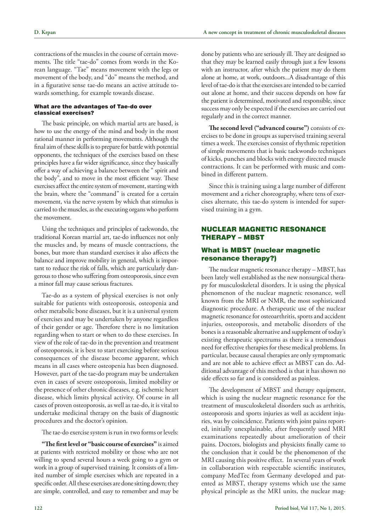contractions of the muscles in the course of certain movements. The title "tae-do" comes from words in the Korean language. "Tae" means movement with the legs or movement of the body, and "do" means the method, and in a figurative sense tae-do means an active attitude towards something, for example towards disease.

#### What are the advantages of Tae-do over classical exercises?

The basic principle, on which martial arts are based, is how to use the energy of the mind and body in the most rational manner in performing movements. Although the final aim of these skills is to prepare for battle with potential opponents, the techniques of the exercises based on these principles have a far wider significance, since they basically offer a way of achieving a balance between the " spirit and the body", and to move in the most efficient way. These exercises affect the entire system of movement, starting with the brain, where the "command" is created for a certain movement, via the nerve system by which that stimulus is carried to the muscles, as the executing organs who perform the movement.

Using the techniques and principles of taekwondo, the traditional Korean martial art, tae-do influences not only the muscles and, by means of muscle contractions, the bones, but more than standard exercises it also affects the balance and improve mobility in general, which is important to reduce the risk of falls, which are particularly dangerous to those who suffering from osteoporosis, since even a minor fall may cause serious fractures.

Tae-do as a system of physical exercises is not only suitable for patients with osteoporosis, osteopenia and other metabolic bone diseases, but it is a universal system of exercises and may be undertaken by anyone regardless of their gender or age. Therefore there is no limitation regarding when to start or when to do these exercises. In view of the role of tae-do in the prevention and treatment of osteoporosis, it is best to start exercising before serious consequences of the disease become apparent, which means in all cases where osteopenia has been diagnosed. However, part of the tae-do program may be undertaken even in cases of severe osteoporosis, limited mobility or the presence of other chronic diseases, e.g. ischemic heart disease, which limits physical activity. Of course in all cases of proven osteoporosis, as well as tae-do, it is vital to undertake medicinal therapy on the basis of diagnostic procedures and the doctor's opinion.

The tae-do exercise system is run in two forms or levels:

**"The first level or "basic course of exercises"** is aimed at patients with restricted mobility or those who are not willing to spend several hours a week going to a gym or work in a group of supervised training. It consists of a limited number of simple exercises which are repeated in a specific order. All these exercises are done sitting down; they are simple, controlled, and easy to remember and may be done by patients who are seriously ill. They are designed so that they may be learned easily through just a few lessons with an instructor, after which the patient may do them alone at home, at work, outdoors...A disadvantage of this level of tae-do is that the exercises are intended to be carried out alone at home, and their success depends on how far the patient is determined, motivated and responsible, since success may only be expected if the exercises are carried out regularly and in the correct manner.

**The second level ("advanced course")** consists of exercises to be done in groups as supervised training several times a week. The exercises consist of rhythmic repetition of simple movements that is basic taekwondo techniques of kicks, punches and blocks with energy directed muscle contractions. It can be performed with music and combined in different pattern.

Since this is training using a large number of different movement and a richer choreography, where tens of exercises alternate, this tae-do system is intended for supervised training in a gym.

## NUCLEAR MAGNETIC RESONANCE THERAPY – MBST

## What is MBST (nuclear magnetic resonance therapy?)

The nuclear magnetic resonance therapy – MBST, has been lately well established as the new nonsurgical therapy for musculoskeletal disorders. It is using the physical phenomenon of the nuclear magnetic resonance, well known from the MRI or NMR, the most sophisticated diagnostic procedure. A therapeutic use of the nuclear magnetic resonance for osteoarthritis, sports and accident injuries, osteoporosis, and metabolic disorders of the bones is a reasonable alternative and supplement of today's existing therapeutic spectrums as there is a tremendous need for effective therapies for these medical problems. In particular, because causal therapies are only symptomatic and are not able to achieve effect as MBST can do. Additional advantage of this method is that it has shown no side effects so far and is considered as painless.

The development of MBST and therapy equipment, which is using the nuclear magnetic resonance for the treatment of musculoskeletal disorders such as arthritis, osteoporosis and sports injuries as well as accident injuries, was by coincidence. Patients with joint pains reported, initially unexplainable, after frequently used MRI examinations repeatedly about amelioration of their pains. Doctors, biologists and physicists finally came to the conclusion that it could be the phenomenon of the MRI causing this positive effect. In several years of work in collaboration with respectable scientific institutes, company MedTec from Germany developed and patented as MBST, therapy systems which use the same physical principle as the MRI units, the nuclear mag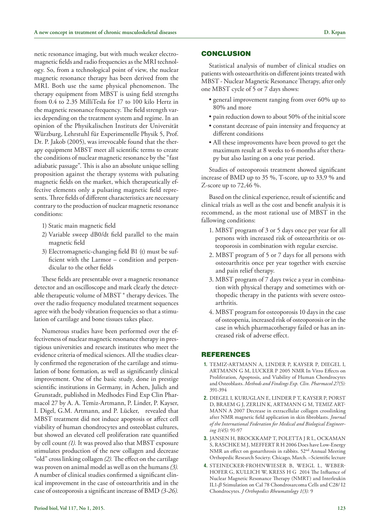netic resonance imaging, but with much weaker electromagnetic fields and radio frequencies as the MRI technology. So, from a technological point of view, the nuclear magnetic resonance therapy has been derived from the MRI. Both use the same physical phenomenon. The therapy equipment from MBST is using field strengths from 0.4 to 2.35 MilliTesla for 17 to 100 kilo Hertz in the magnetic resonance frequency. The field strength varies depending on the treatment system and regime. In an opinion of the Physikalischen Instituts der Universität Würzburg, Lehrstuhl für Experimentelle Physik 5, Prof. Dr. P. Jakob (2005), was irrevocable found that the therapy equipment MBST meet all scientific terms to create the conditions of nuclear magnetic resonance by the "fast adiabatic passage". This is also an absolute unique selling proposition against the therapy systems with pulsating magnetic fields on the market, which therapeutically effective elements only a pulsating magnetic field represents. Three fields of different characteristics are necessary contrary to the production of nuclear magnetic resonance conditions:

- 1) Static main magnetic field
- 2) Variable sweep dB0/dt field parallel to the main magnetic field
- 3) Electromagnetic-changing field B1 (t) must be sufficient with the Larmor – condition and perpendicular to the other fields

These fields are presentable over a magnetic resonance detector and an oscilloscope and mark clearly the detectable therapeutic volume of MBST ® therapy devices. The over the radio frequency modulated treatment sequences agree with the body vibration frequencies so that a stimulation of cartilage and bone tissues takes place.

Numerous studies have been performed over the effectiveness of nuclear magnetic resonance therapy in prestigious universities and research institutes who meet the evidence criteria of medical sciences. All the studies clearly confirmed the regeneration of the cartilage and stimulation of bone formation, as well as significantly clinical improvement. One of the basic study, done in prestige scientific institutions in Germany, in Achen, Julich and Grunstadt, published in Medhodes Find Exp Clin Pharmacol 27 by A. A. Temiz-Artmann, P. Linder, P. Kayser, I. Digel, G.M. Artmann, and P. Lücker, revealed that MBST treatment did not induce apoptosis or affect cell viability of human chondrocytes and osteoblast cultures, but showed an elevated cell proliferation rate quantified by cell count *(1).* It was proved also that MBST exposure stimulates production of the new collagen and decrease "old" cross linking collagen *(2).* The effect on the cartilage was proven on animal model as well as on the humans *(3).* A number of clinical studies confirmed a significant clinical improvement in the case of osteoarthritis and in the case of osteoporosis a significant increase of BMD *(3-26).*

## **CONCLUSION**

Statistical analysis of number of clinical studies on patients with osteoarthritis on different joints treated with MBST - Nuclear Magnetic Resonance Therapy, after only one MBST cycle of 5 or 7 days shows:

- general improvement ranging from over 60% up to 80% and more
- pain reduction down to about 50% of the initial score
- constant decrease of pain intensity and frequency at different conditions
- All these improvements have been proved to get the maximum result at 8 weeks to 6 months after therapy but also lasting on a one year period.

Studies of osteoporosis treatment showed significant increase of BMD up to 35 %, T-score, up to 33,9 % and Z-score up to 72,46 %.

Based on the clinical experience, result of scientific and clinical trials as well as the cost and benefit analysis it is recommend, as the most rational use of MBST in the fallowing conditions:

- 1. MBST program of 3 or 5 days once per year for all persons with increased risk of osteoarthritis or osteoporosis in combination with regular exercise.
- 2. MBST program of 5 or 7 days for all persons with osteoarthritis once per year together with exercise and pain relief therapy.
- 3. MBST program of 7 days twice a year in combination with physical therapy and sometimes with orthopedic therapy in the patients with severe osteoarthritis.
- 4. MBST program for osteoporosis 10 days in the case of osteopenia, increased risk of osteoporosis or in the case in which pharmacotherapy failed or has an increased risk of adverse effect.

## REFERENCES

- **1.** Temiz-Artmann A, Linder P, Kayser P, Diegel I, ARTMANN G M, LUCKER P 2005 NMR In Vitro Effects on Proliferation, Apoptosis, and Viability of Human Chondrocytes and Osteoblasts. *Methods and Findings Exp. Clin. Pharmacol 27(5):* 391-394
- **2.** Diegel I, Kuruglan E, Linder P t, Kayser P, Porst D, Braem G J, Zerlin K, Artmann G M, Temiz Art-MANN A 2007 Decrease in extracellular collagen crosslinking after NMR magnetic field application in skin fibroblasts. *Journal of the International Federation for Medical and Biological Engineering 1(45):* 91-97
- **3.** Jansen H, Brockkamp T, Poletta J R L, Ockaman S, RASCHKE M J, MEFFERT R H 2006 Does have Low-Energy NMR an effect on gonarthrosis in rabbits. 52nd Annual Meeting Orthopedic Research Society. Chicago, March. –Scientific lecture
- **4.** Steinecker-Frohnwieser B, Weigl L, Weberhofer G, Kullich W, Kress H G 2014 The Influence of Nuclear Magnetic Resonance Therapy (NMRT) and Interleukin IL1-*b* Stimulation on Cal 78 Chondrosarcoma Cells and C28/ I2 Chondrocytes. *J Orthopedics Rheumatology 1(3):* 9